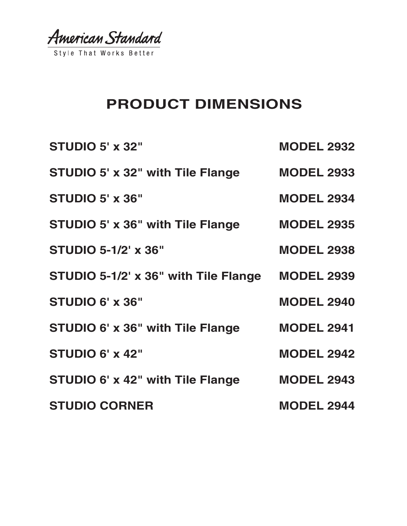American Standard

Style That Works Better

# **PRODUCT DIMENSIONS**

| <b>STUDIO 5' x 32"</b>               | <b>MODEL 2932</b> |
|--------------------------------------|-------------------|
| STUDIO 5' x 32" with Tile Flange     | <b>MODEL 2933</b> |
| <b>STUDIO 5' x 36"</b>               | <b>MODEL 2934</b> |
| STUDIO 5' x 36" with Tile Flange     | <b>MODEL 2935</b> |
| <b>STUDIO 5-1/2' x 36"</b>           | <b>MODEL 2938</b> |
| STUDIO 5-1/2' x 36" with Tile Flange | <b>MODEL 2939</b> |
| STUDIO 6' x 36"                      | <b>MODEL 2940</b> |
| STUDIO 6' x 36" with Tile Flange     | <b>MODEL 2941</b> |
| <b>STUDIO 6' x 42"</b>               | <b>MODEL 2942</b> |
| STUDIO 6' x 42" with Tile Flange     | <b>MODEL 2943</b> |
| <b>STUDIO CORNER</b>                 | <b>MODEL 2944</b> |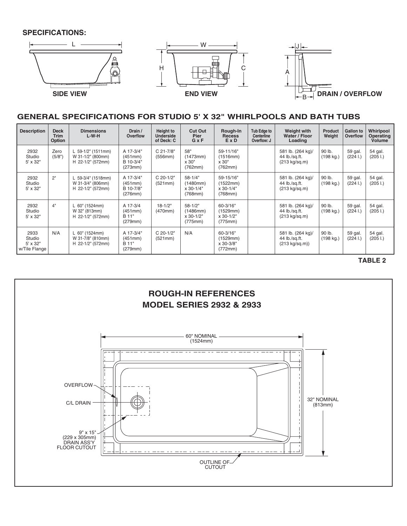

### **GENERAL SPECIFICATIONS FOR STUDIO 5' X 32" WHIRLPOOLS AND BATH TUBS**

| <b>Description</b>                                 | <b>Deck</b><br><b>Trim</b><br>Option | <b>Dimensions</b><br>$L-W-H$                                 | Drain /<br><b>Overflow</b>                   | Height to<br><b>Underside</b><br>of Deck: C | <b>Cut Out</b><br>Pier<br>$G \times F$          | Rough-In<br><b>Recess</b><br>ExD                    | Tub Edge to<br>Centerline<br>Overflow: J | Weight with<br>Water / Floor<br>Loading                       | <b>Product</b><br>Weight | <b>Gallon to</b><br>Overflow | Whirlpool<br><b>Operating</b><br><b>Volume</b> |
|----------------------------------------------------|--------------------------------------|--------------------------------------------------------------|----------------------------------------------|---------------------------------------------|-------------------------------------------------|-----------------------------------------------------|------------------------------------------|---------------------------------------------------------------|--------------------------|------------------------------|------------------------------------------------|
| 2932<br>Studio<br>$5' \times 32"$                  | Zero<br>(5/8")                       | L 59-1/2" (1511mm)<br>W 31-1/2" (800mm)<br>H 22-1/2" (572mm) | A 17-3/4"<br>(451mm)<br>B 10-3/4"<br>(273mm) | C 21-7/8"<br>(556mm)                        | 58"<br>(1473mm)<br>x 30"<br>(762mm)             | 59-11/16"<br>(1516mm)<br>x 30"<br>(762mm)           |                                          | 581 lb. (264 kg)/<br>44 lb./sq.ft.<br>$(213 \text{ kg/sq.m})$ | 90 lb.<br>(198 kg.)      | 59 gal.<br>(2241)            | 54 gal.<br>(2051)                              |
| 2932<br>Studio<br>5' x 32"                         | 2"                                   | L 59-3/4" (1518mm)<br>W 31-3/4" (806mm)<br>H 22-1/2" (572mm) | A 17-3/4"<br>(451mm)<br>B 10-7/8"<br>(276mm) | C 20-1/2"<br>(521mm)                        | $58 - 1/4"$<br>(1480mm)<br>x 30-1/4"<br>(768mm) | 59-15/16"<br>(1522mm)<br>x 30-1/4"<br>$(768$ mm $)$ |                                          | 581 lb. (264 kg)/<br>44 lb./sq.ft.<br>(213 kg/sq.m)           | 90 lb.<br>(198 kg.)      | 59 gal.<br>(2241)            | 54 gal.<br>(205 1.)                            |
| 2932<br>Studio<br>$5' \times 32"$                  | 4"                                   | L 60" (1524mm)<br>W 32" (813mm)<br>H 22-1/2" (572mm)         | A 17-3/4<br>(451mm)<br>B 11"<br>(279mm)      | $18 - 1/2"$<br>(470mm)                      | $58 - 1/2"$<br>(1486mm)<br>x 30-1/2"<br>(775mm) | 60-3/16"<br>(1529mm)<br>x 30-1/2"<br>(775mm)        |                                          | 581 lb. (264 kg)/<br>44 lb./sa.ft.<br>$(213 \text{ kg/sq.m})$ | 90 lb.<br>(198 kg.)      | 59 gal.<br>(2241)            | 54 gal.<br>(2051)                              |
| 2933<br>Studio<br>$5' \times 32"$<br>w/Tile Flange | N/A                                  | L 60" (1524mm)<br>W 31-7/8" (810mm)<br>H 22-1/2" (572mm)     | A 17-3/4"<br>(451mm)<br>B 11"<br>(279mm)     | C 20-1/2"<br>(521mm)                        | N/A                                             | 60-3/16"<br>(1529mm)<br>x 30-3/8"<br>(772mm)        |                                          | 581 lb. (264 kg)/<br>44 lb./sq.ft.<br>$(213 \text{ kg/sq.m})$ | 90 lb.<br>(198 kg.)      | 59 gal.<br>(2241)            | 54 gal.<br>(2051)                              |

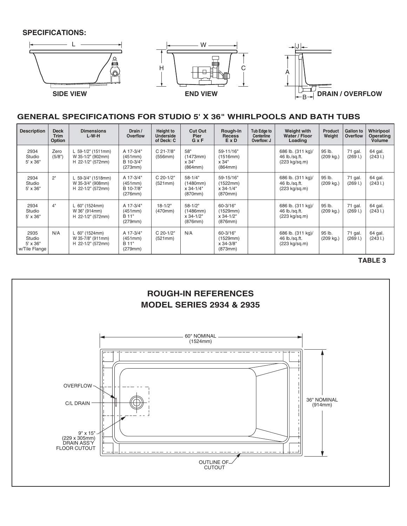

# **GENERAL SPECIFICATIONS FOR STUDIO 5' X 36" WHIRLPOOLS AND BATH TUBS**

| <b>Description</b>                                 | <b>Deck</b><br><b>Trim</b><br>Option | <b>Dimensions</b><br>$L-W-H$                                 | Drain /<br><b>Overflow</b>                   | Height to<br><b>Underside</b><br>of Deck: C | <b>Cut Out</b><br><b>Pier</b><br>$G \times F$   | Rough-In<br><b>Recess</b><br>ExD              | Tub Edge to<br>Centerline<br>Overflow: J | <b>Weight with</b><br>Water / Floor<br>Loading                | <b>Product</b><br>Weight | Gallon to<br><b>Overflow</b> | Whirlpool<br>Operating<br><b>Volume</b> |
|----------------------------------------------------|--------------------------------------|--------------------------------------------------------------|----------------------------------------------|---------------------------------------------|-------------------------------------------------|-----------------------------------------------|------------------------------------------|---------------------------------------------------------------|--------------------------|------------------------------|-----------------------------------------|
| 2934<br>Studio<br>$5' \times 36"$                  | Zero<br>(5/8")                       | L 59-1/2" (1511mm)<br>W 35-1/2" (902mm)<br>H 22-1/2" (572mm) | A 17-3/4"<br>(451mm)<br>B 10-3/4"<br>(273mm) | C 21-7/8"<br>(556mm)                        | 58"<br>(1473mm)<br>x 34"<br>(864mm)             | 59-11/16"<br>(1516mm)<br>x 34"<br>(864mm)     |                                          | 686 lb. (311 kg)/<br>46 lb./sq.ft.<br>$(223 \text{ kg/sq.m})$ | 95 lb.<br>(209 kg.)      | 71 gal.<br>(2691)            | 64 gal.<br>(2431)                       |
| 2934<br>Studio<br>5' x 36"                         | 2"                                   | L 59-3/4" (1518mm)<br>W 35-3/4" (908mm)<br>H 22-1/2" (572mm) | A 17-3/4"<br>(451mm)<br>B 10-7/8"<br>(276mm) | C 20-1/2"<br>(521mm)                        | $58 - 1/4"$<br>(1480mm)<br>x 34-1/4"<br>(870mm) | 59-15/16"<br>(1522mm)<br>x 34-1/4"<br>(870mm) |                                          | 686 lb. (311 kg)/<br>46 lb./sq.ft.<br>(223 kg/sq.m)           | 95 lb.<br>(209 kg.)      | 71 gal.<br>(2691)            | 64 gal.<br>(2431)                       |
| 2934<br>Studio<br>$5' \times 36''$                 | 4"                                   | L 60" (1524mm)<br>W 36" (914mm)<br>H 22-1/2" (572mm)         | A 17-3/4"<br>(451mm)<br>B 11"<br>(279mm)     | $18 - 1/2"$<br>(470mm)                      | $58 - 1/2"$<br>(1486mm)<br>x 34-1/2"<br>(876mm) | 60-3/16"<br>(1529mm)<br>x 34-1/2"<br>(876mm)  |                                          | 686 lb. (311 kg)/<br>46 lb./sa.ft.<br>$(223 \text{ kg/sq.m})$ | 95 lb.<br>(209 kg.)      | 71 gal.<br>(2691)            | 64 gal.<br>(2431)                       |
| 2935<br>Studio<br>$5' \times 36"$<br>w/Tile Flange | N/A                                  | L 60" (1524mm)<br>W 35-7/8" (911mm)<br>H 22-1/2" (572mm)     | A 17-3/4"<br>(451mm)<br>B 11"<br>(279mm)     | C 20-1/2"<br>(521mm)                        | N/A                                             | 60-3/16"<br>(1529mm)<br>x 34-3/8"<br>(873mm)  |                                          | 686 lb. (311 kg)/<br>46 lb./sq.ft.<br>(223 kg/sq.m)           | 95 lb.<br>(209 kg.)      | 71 gal.<br>(2691)            | 64 gal.<br>(2431)                       |

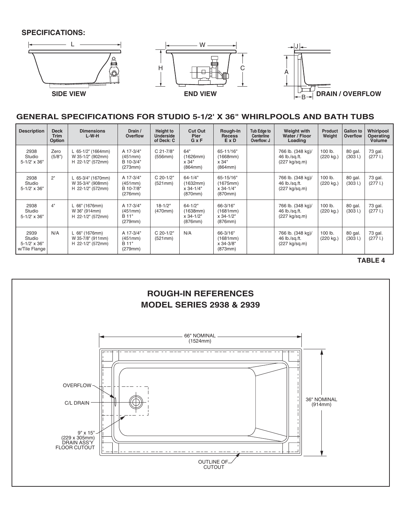

## **GENERAL SPECIFICATIONS FOR STUDIO 5-1/2' X 36" WHIRLPOOLS AND BATH TUBS**

| <b>Description</b>                                        | <b>Deck</b><br><b>Trim</b><br>Option | <b>Dimensions</b><br>$L-W-H$                                 | Drain /<br>Overflow                          | <b>Height to</b><br><b>Underside</b><br>of Deck: C | <b>Cut Out</b><br>Pier<br>$G \times F$              | Rough-In<br><b>Recess</b><br>ExD              | Tub Edge to<br>Centerline<br>Overflow: J | Weight with<br>Water / Floor<br>Loading             | <b>Product</b><br>Weight | Gallon to<br>Overflow | Whirlpool<br>Operating<br>Volume |
|-----------------------------------------------------------|--------------------------------------|--------------------------------------------------------------|----------------------------------------------|----------------------------------------------------|-----------------------------------------------------|-----------------------------------------------|------------------------------------------|-----------------------------------------------------|--------------------------|-----------------------|----------------------------------|
| 2938<br>Studio<br>5-1/2' x 36"                            | Zero<br>(5/8")                       | L 65-1/2" (1664mm)<br>W 35-1/2" (902mm)<br>H 22-1/2" (572mm) | A 17-3/4"<br>(451mm)<br>B 10-3/4"<br>(273mm) | C 21-7/8"<br>(556mm)                               | 64"<br>(1626mm)<br>x 34"<br>(864mm)                 | 65-11/16"<br>(1668mm)<br>x 34"<br>(864mm)     |                                          | 766 lb. (348 kg)/<br>46 lb./sq.ft.<br>(227 kg/sq.m) | 100 lb.<br>(220 kg.)     | 80 gal.<br>(3031)     | 73 gal.<br>(2771)                |
| 2938<br>Studio<br>$5 - 1/2' \times 36''$                  | 2"                                   | L 65-3/4" (1670mm)<br>W 35-3/4" (908mm)<br>H 22-1/2" (572mm) | A 17-3/4"<br>(451mm)<br>B 10-7/8"<br>(276mm) | C 20-1/2"<br>(521mm)                               | $64 - 1/4"$<br>(1632mm)<br>$x 34 - 1/4"$<br>(870mm) | 65-15/16"<br>(1675mm)<br>x 34-1/4"<br>(870mm) |                                          | 766 lb. (348 kg)/<br>46 lb./sq.ft.<br>(227 kg/sq.m) | 100 lb.<br>(220 kg.)     | 80 gal.<br>(3031)     | 73 gal.<br>(2771)                |
| 2938<br>Studio<br>$5 - 1/2' \times 36''$                  | 4"                                   | L 66" (1676mm)<br>W 36" (914mm)<br>H 22-1/2" (572mm)         | A 17-3/4"<br>(451mm)<br>B 11"<br>(279mm)     | $18 - 1/2"$<br>(470mm)                             | $64 - 1/2"$<br>(1638mm)<br>x 34-1/2"<br>(876mm)     | 66-3/16"<br>(1681mm)<br>x 34-1/2"<br>(876mm)  |                                          | 766 lb. (348 kg)/<br>46 lb./sq.ft.<br>(227 kg/sq.m) | 100 lb.<br>(220 kg.)     | 80 gal.<br>(3031)     | 73 gal.<br>(2771)                |
| 2939<br>Studio<br>$5 - 1/2' \times 36''$<br>w/Tile Flange | N/A                                  | L 66" (1676mm)<br>W 35-7/8" (911mm)<br>H 22-1/2" (572mm)     | A 17-3/4"<br>(451mm)<br>B 11"<br>(279mm)     | C 20-1/2"<br>(521mm)                               | N/A                                                 | 66-3/16"<br>(1681mm)<br>x 34-3/8"<br>(873mm)  |                                          | 766 lb. (348 kg)/<br>46 lb./sq.ft.<br>(227 kg/sq.m) | 100 lb.<br>(220 kg.)     | 80 gal.<br>(3031)     | 73 gal.<br>(2771)                |

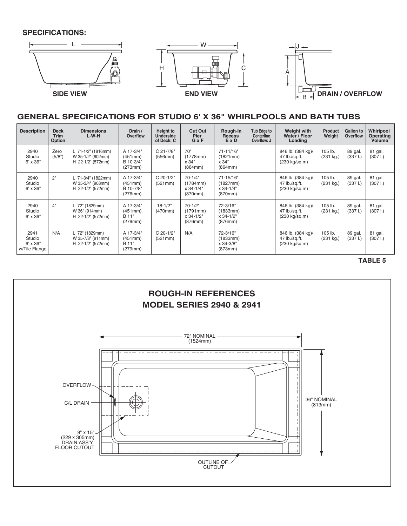

#### **GENERAL SPECIFICATIONS FOR STUDIO 6' X 36" WHIRLPOOLS AND BATH TUBS**

| <b>Description</b>                                 | <b>Deck</b><br><b>Trim</b><br><b>Option</b> | <b>Dimensions</b><br>$L-W-H$                                 | Drain /<br><b>Overflow</b>                   | <b>Height to</b><br><b>Underside</b><br>of Deck: C | <b>Cut Out</b><br>Pier<br>$G \times F$            | Rough-In<br><b>Recess</b><br>ExD                 | Tub Edge to<br>Centerline<br>Overflow: J | <b>Weight with</b><br>Water / Floor<br>Loading                | <b>Product</b><br>Weight | Gallon to<br>Overflow | Whirlpool<br>Operating<br><b>Volume</b> |
|----------------------------------------------------|---------------------------------------------|--------------------------------------------------------------|----------------------------------------------|----------------------------------------------------|---------------------------------------------------|--------------------------------------------------|------------------------------------------|---------------------------------------------------------------|--------------------------|-----------------------|-----------------------------------------|
| 2940<br>Studio<br>$6' \times 36"$                  | Zero<br>(5/8")                              | L 71-1/2" (1816mm)<br>W 35-1/2" (902mm)<br>H 22-1/2" (572mm) | A 17-3/4"<br>(451mm)<br>B 10-3/4"<br>(273mm) | C 21-7/8"<br>(556mm)                               | 70"<br>(1778mm)<br>x 34"<br>(864mm)               | 71-11/16"<br>(1821mm)<br>x 34"<br>(864mm)        |                                          | 846 lb. (384 kg)/<br>47 lb./sq.ft.<br>(230 kg/sq.m)           | 105 lb.<br>(231 kg.)     | 89 gal.<br>(3371)     | 81 gal.<br>(3071)                       |
| 2940<br>Studio<br>$6' \times 36"$                  | 2"                                          | L 71-3/4" (1822mm)<br>W 35-3/4" (908mm)<br>H 22-1/2" (572mm) | A 17-3/4"<br>(451mm)<br>B 10-7/8"<br>(276mm) | C 20-1/2"<br>(521mm)                               | $70 - 1/4"$<br>(1784mm)<br>x 34-1/4"<br>(870mm)   | 71-15/16"<br>(1827mm)<br>x 34-1/4"<br>(870mm)    |                                          | 846 lb. (384 kg)/<br>47 lb./sq.ft.<br>(230 kg/sq.m)           | 105 lb.<br>(231 kg.)     | 89 gal.<br>(3371)     | 81 gal.<br>(3071)                       |
| 2940<br>Studio<br>$6' \times 36"$                  | 4"                                          | L 72" (1829mm)<br>W 36" (914mm)<br>H 22-1/2" (572mm)         | A 17-3/4"<br>(451mm)<br>B 11"<br>(279mm)     | $18 - 1/2"$<br>(470mm)                             | $70-1/2"$<br>(1791mm)<br>$x 34 - 1/2"$<br>(876mm) | 72-3/16"<br>(1833mm)<br>$x 34 - 1/2"$<br>(876mm) |                                          | 846 lb. (384 kg)/<br>47 lb./sq.ft.<br>(230 kg/sq.m)           | 105 lb.<br>(231 kg.)     | 89 gal.<br>(3371)     | 81 gal.<br>(3071)                       |
| 2941<br>Studio<br>$6' \times 36"$<br>w/Tile Flange | N/A                                         | L 72" (1829mm)<br>W 35-7/8" (911mm)<br>H 22-1/2" (572mm)     | A 17-3/4"<br>(451mm)<br>B 11"<br>(279mm)     | C 20-1/2"<br>(521mm)                               | N/A                                               | 72-3/16"<br>(1833mm)<br>x 34-3/8"<br>(873mm)     |                                          | 846 lb. (384 kg)/<br>47 lb./sq.ft.<br>$(230 \text{ kg/sq.m})$ | 105 lb.<br>(231 kg.)     | 89 gal.<br>(3371)     | 81 gal.<br>(3071)                       |

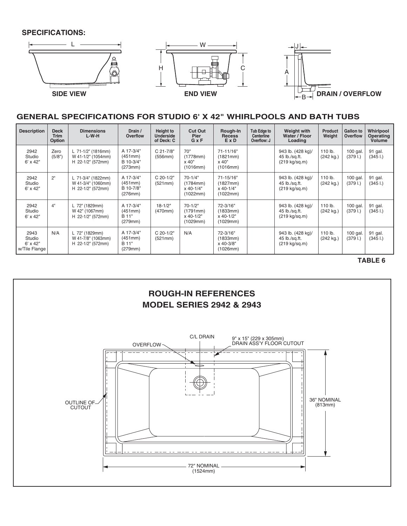

# **GENERAL SPECIFICATIONS FOR STUDIO 6' X 42" WHIRLPOOLS AND BATH TUBS**

| <b>Description</b>                                 | <b>Deck</b><br><b>Trim</b><br>Option | <b>Dimensions</b><br>$L-W-H$                                  | Drain /<br>Overflow                          | Height to<br><b>Underside</b><br>of Deck: C | <b>Cut Out</b><br><b>Pier</b><br>$G \times F$  | Rough-In<br><b>Recess</b><br>ExD               | Tub Edge to<br>Centerline<br>Overflow: J | Weight with<br>Water / Floor<br>Loading                       | <b>Product</b><br>Weight | <b>Gallon to</b><br><b>Overflow</b> | Whirlpool<br><b>Operating</b><br><b>Volume</b> |
|----------------------------------------------------|--------------------------------------|---------------------------------------------------------------|----------------------------------------------|---------------------------------------------|------------------------------------------------|------------------------------------------------|------------------------------------------|---------------------------------------------------------------|--------------------------|-------------------------------------|------------------------------------------------|
| 2942<br>Studio<br>$6' \times 42"$                  | Zero<br>(5/8")                       | L 71-1/2" (1816mm)<br>W 41-1/2" (1054mm)<br>H 22-1/2" (572mm) | A 17-3/4"<br>(451mm)<br>B 10-3/4"<br>(273mm) | $C$ 21-7/8"<br>(556mm)                      | 70"<br>(1778mm)<br>x 40"<br>(1016mm)           | 71-11/16"<br>(1821mm)<br>x 40"<br>(1016mm)     |                                          | 943 lb. (428 kg)/<br>45 lb./sq.ft.<br>(219 kg/sq.m)           | 110 lb.<br>(242 kg.)     | $100$ gal.<br>(3791)                | 91 gal.<br>(3451)                              |
| 2942<br>Studio<br>$6' \times 42"$                  | 2"                                   | L 71-3/4" (1822mm)<br>W 41-3/4" (1060mm)<br>H 22-1/2" (572mm) | A 17-3/4"<br>(451mm)<br>B 10-7/8"<br>(276mm) | C 20-1/2"<br>(521mm)                        | $70-1/4"$<br>(1784mm)<br>x 40-1/4"<br>(1022mm) | 71-15/16"<br>(1827mm)<br>x 40-1/4"<br>(1022mm) |                                          | 943 lb. (428 kg)/<br>45 lb./sq.ft.<br>(219 kg/sq.m)           | 110 lb.<br>(242 kg.)     | $100$ gal.<br>(3791)                | 91 gal.<br>(3451)                              |
| 2942<br>Studio<br>$6' \times 42"$                  | 4"                                   | L 72" (1829mm)<br>W 42" (1067mm)<br>H 22-1/2" (572mm)         | A 17-3/4"<br>(451mm)<br>B 11"<br>(279mm)     | $18 - 1/2"$<br>(470mm)                      | $70-1/2"$<br>(1791mm)<br>x 40-1/2"<br>(1029mm) | 72-3/16"<br>(1833mm)<br>x 40-1/2"<br>(1029mm)  |                                          | 943 lb. (428 kg)/<br>45 lb./sq.ft.<br>$(219 \text{ kg/sq.m})$ | 110 lb.<br>(242 kg.)     | $100$ gal.<br>(3791)                | 91 gal.<br>(3451)                              |
| 2943<br>Studio<br>$6' \times 42"$<br>w/Tile Flange | N/A                                  | L 72" (1829mm)<br>W 41-7/8" (1063mm)<br>H 22-1/2" (572mm)     | A 17-3/4"<br>(451mm)<br>B 11"<br>(279mm)     | C 20-1/2"<br>(521mm)                        | N/A                                            | 72-3/16"<br>(1833mm)<br>x 40-3/8"<br>(1026mm)  |                                          | 943 lb. (428 kg)/<br>45 lb./sq.ft.<br>(219 kg/sq.m)           | 110 lb.<br>(242 kg.)     | 100 gal.<br>(3791)                  | 91 gal.<br>(3451)                              |